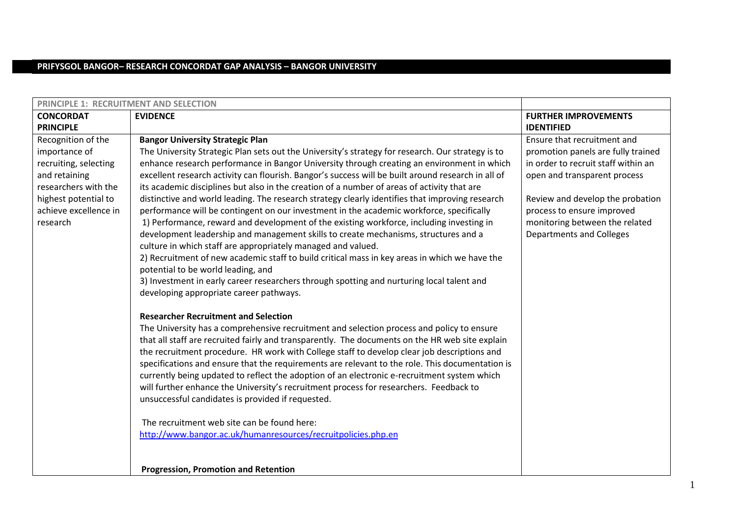# **PRIFYSGOL BANGOR– RESEARCH CONCORDAT GAP ANALYSIS – BANGOR UNIVERSITY**

| <b>PRINCIPLE 1: RECRUITMENT AND SELECTION</b>                                                                                                                      |                                                                                                                                                                                                                                                                                                                                                                                                                                                                                                                                                                                                                                                                                                                                                                                                                                                                                                                                                                                                                                                                                                                                                                                  |                                                                                                                                                                                                                                                                                 |
|--------------------------------------------------------------------------------------------------------------------------------------------------------------------|----------------------------------------------------------------------------------------------------------------------------------------------------------------------------------------------------------------------------------------------------------------------------------------------------------------------------------------------------------------------------------------------------------------------------------------------------------------------------------------------------------------------------------------------------------------------------------------------------------------------------------------------------------------------------------------------------------------------------------------------------------------------------------------------------------------------------------------------------------------------------------------------------------------------------------------------------------------------------------------------------------------------------------------------------------------------------------------------------------------------------------------------------------------------------------|---------------------------------------------------------------------------------------------------------------------------------------------------------------------------------------------------------------------------------------------------------------------------------|
| <b>CONCORDAT</b><br><b>PRINCIPLE</b>                                                                                                                               | <b>EVIDENCE</b>                                                                                                                                                                                                                                                                                                                                                                                                                                                                                                                                                                                                                                                                                                                                                                                                                                                                                                                                                                                                                                                                                                                                                                  | <b>FURTHER IMPROVEMENTS</b><br><b>IDENTIFIED</b>                                                                                                                                                                                                                                |
| Recognition of the<br>importance of<br>recruiting, selecting<br>and retaining<br>researchers with the<br>highest potential to<br>achieve excellence in<br>research | <b>Bangor University Strategic Plan</b><br>The University Strategic Plan sets out the University's strategy for research. Our strategy is to<br>enhance research performance in Bangor University through creating an environment in which<br>excellent research activity can flourish. Bangor's success will be built around research in all of<br>its academic disciplines but also in the creation of a number of areas of activity that are<br>distinctive and world leading. The research strategy clearly identifies that improving research<br>performance will be contingent on our investment in the academic workforce, specifically<br>1) Performance, reward and development of the existing workforce, including investing in<br>development leadership and management skills to create mechanisms, structures and a<br>culture in which staff are appropriately managed and valued.<br>2) Recruitment of new academic staff to build critical mass in key areas in which we have the<br>potential to be world leading, and<br>3) Investment in early career researchers through spotting and nurturing local talent and<br>developing appropriate career pathways. | Ensure that recruitment and<br>promotion panels are fully trained<br>in order to recruit staff within an<br>open and transparent process<br>Review and develop the probation<br>process to ensure improved<br>monitoring between the related<br><b>Departments and Colleges</b> |
|                                                                                                                                                                    | <b>Researcher Recruitment and Selection</b><br>The University has a comprehensive recruitment and selection process and policy to ensure<br>that all staff are recruited fairly and transparently. The documents on the HR web site explain<br>the recruitment procedure. HR work with College staff to develop clear job descriptions and<br>specifications and ensure that the requirements are relevant to the role. This documentation is<br>currently being updated to reflect the adoption of an electronic e-recruitment system which<br>will further enhance the University's recruitment process for researchers. Feedback to<br>unsuccessful candidates is provided if requested.<br>The recruitment web site can be found here:<br>http://www.bangor.ac.uk/humanresources/recruitpolicies.php.en                                                                                                                                                                                                                                                                                                                                                                      |                                                                                                                                                                                                                                                                                 |
|                                                                                                                                                                    | <b>Progression, Promotion and Retention</b>                                                                                                                                                                                                                                                                                                                                                                                                                                                                                                                                                                                                                                                                                                                                                                                                                                                                                                                                                                                                                                                                                                                                      |                                                                                                                                                                                                                                                                                 |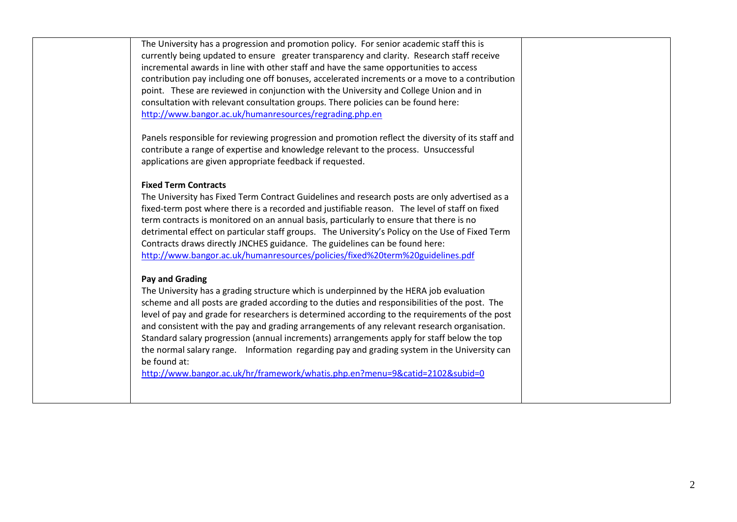The University has a progression and promotion policy. For senior academic staff this is currently being updated to ensure greater transparency and clarity. Research staff receive incremental awards in line with other staff and have the same opportunities to access contribution pay including one off bonuses, accelerated increments or a move to a contribution point. These are reviewed in conjunction with the University and College Union and in consultation with relevant consultation groups. There policies can be found here: [http://www.bangor.ac.uk/humanresources/regrading.php.en](http://www.bangor.ac.uk/humanresources/regrading.php.en?catid=&subid=4615)

 Panels responsible for reviewing progression and promotion reflect the diversity of its staff and contribute a range of expertise and knowledge relevant to the process. Unsuccessful applications are given appropriate feedback if requested.

### **Fixed Term Contracts**

The University has Fixed Term Contract Guidelines and research posts are only advertised as a fixed-term post where there is a recorded and justifiable reason. The level of staff on fixed term contracts is monitored on an annual basis, particularly to ensure that there is no detrimental effect on particular staff groups. The University's Policy on the Use of Fixed Term Contracts draws directly JNCHES guidance. The guidelines can be found here: <http://www.bangor.ac.uk/humanresources/policies/fixed%20term%20guidelines.pdf>

### **Pay and Grading**

 The University has a grading structure which is underpinned by the HERA job evaluation scheme and all posts are graded according to the duties and responsibilities of the post. The level of pay and grade for researchers is determined according to the requirements of the post and consistent with the pay and grading arrangements of any relevant research organisation. Standard salary progression (annual increments) arrangements apply for staff below the top the normal salary range. Information regarding pay and grading system in the University can be found at:

<http://www.bangor.ac.uk/hr/framework/whatis.php.en?menu=9&catid=2102&subid=0>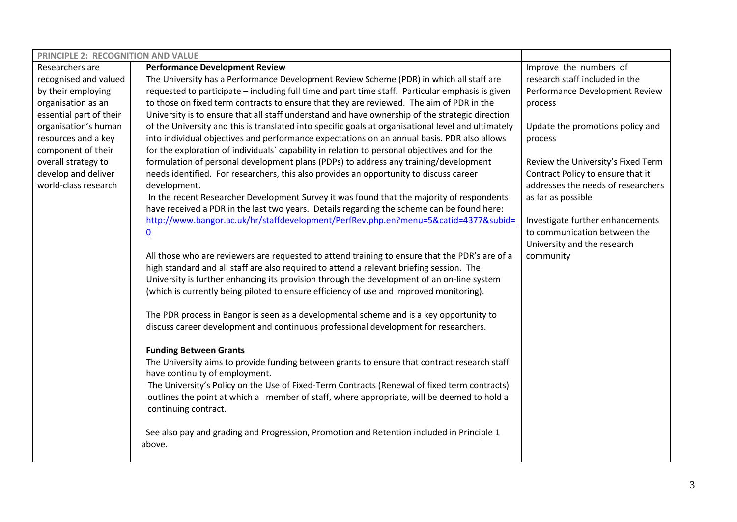| PRINCIPLE 2: RECOGNITION AND VALUE |                                                                                                                                                                                        |                                    |
|------------------------------------|----------------------------------------------------------------------------------------------------------------------------------------------------------------------------------------|------------------------------------|
| Researchers are                    | <b>Performance Development Review</b>                                                                                                                                                  | Improve the numbers of             |
| recognised and valued              | The University has a Performance Development Review Scheme (PDR) in which all staff are                                                                                                | research staff included in the     |
| by their employing                 | requested to participate - including full time and part time staff. Particular emphasis is given                                                                                       | Performance Development Review     |
| organisation as an                 | to those on fixed term contracts to ensure that they are reviewed. The aim of PDR in the                                                                                               | process                            |
| essential part of their            | University is to ensure that all staff understand and have ownership of the strategic direction                                                                                        |                                    |
| organisation's human               | of the University and this is translated into specific goals at organisational level and ultimately                                                                                    | Update the promotions policy and   |
| resources and a key                | into individual objectives and performance expectations on an annual basis. PDR also allows                                                                                            | process                            |
| component of their                 | for the exploration of individuals' capability in relation to personal objectives and for the                                                                                          |                                    |
| overall strategy to                | formulation of personal development plans (PDPs) to address any training/development                                                                                                   | Review the University's Fixed Term |
| develop and deliver                | needs identified. For researchers, this also provides an opportunity to discuss career                                                                                                 | Contract Policy to ensure that it  |
| world-class research               | development.                                                                                                                                                                           | addresses the needs of researchers |
|                                    | In the recent Researcher Development Survey it was found that the majority of respondents                                                                                              | as far as possible                 |
|                                    | have received a PDR in the last two years. Details regarding the scheme can be found here:                                                                                             |                                    |
|                                    | http://www.bangor.ac.uk/hr/staffdevelopment/PerfRev.php.en?menu=5&catid=4377&subid=                                                                                                    | Investigate further enhancements   |
|                                    | $\underline{0}$                                                                                                                                                                        | to communication between the       |
|                                    |                                                                                                                                                                                        | University and the research        |
|                                    | All those who are reviewers are requested to attend training to ensure that the PDR's are of a                                                                                         | community                          |
|                                    | high standard and all staff are also required to attend a relevant briefing session. The<br>University is further enhancing its provision through the development of an on-line system |                                    |
|                                    | (which is currently being piloted to ensure efficiency of use and improved monitoring).                                                                                                |                                    |
|                                    |                                                                                                                                                                                        |                                    |
|                                    | The PDR process in Bangor is seen as a developmental scheme and is a key opportunity to                                                                                                |                                    |
|                                    | discuss career development and continuous professional development for researchers.                                                                                                    |                                    |
|                                    |                                                                                                                                                                                        |                                    |
|                                    | <b>Funding Between Grants</b>                                                                                                                                                          |                                    |
|                                    | The University aims to provide funding between grants to ensure that contract research staff                                                                                           |                                    |
|                                    | have continuity of employment.                                                                                                                                                         |                                    |
|                                    | The University's Policy on the Use of Fixed-Term Contracts (Renewal of fixed term contracts)                                                                                           |                                    |
|                                    | outlines the point at which a member of staff, where appropriate, will be deemed to hold a                                                                                             |                                    |
|                                    | continuing contract.                                                                                                                                                                   |                                    |
|                                    |                                                                                                                                                                                        |                                    |
|                                    | See also pay and grading and Progression, Promotion and Retention included in Principle 1                                                                                              |                                    |
|                                    | above.                                                                                                                                                                                 |                                    |
|                                    |                                                                                                                                                                                        |                                    |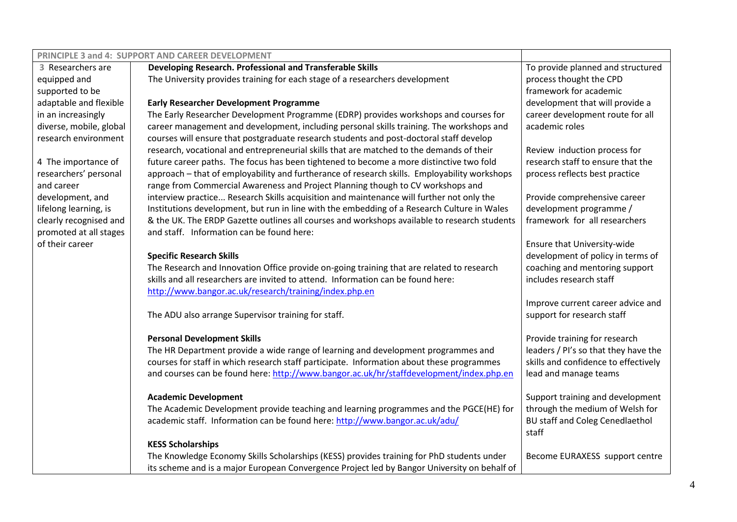| PRINCIPLE 3 and 4: SUPPORT AND CAREER DEVELOPMENT |                                                                                              |                                      |
|---------------------------------------------------|----------------------------------------------------------------------------------------------|--------------------------------------|
| 3 Researchers are                                 | Developing Research. Professional and Transferable Skills                                    | To provide planned and structured    |
| equipped and                                      | The University provides training for each stage of a researchers development                 | process thought the CPD              |
| supported to be                                   |                                                                                              | framework for academic               |
| adaptable and flexible                            | <b>Early Researcher Development Programme</b>                                                | development that will provide a      |
| in an increasingly                                | The Early Researcher Development Programme (EDRP) provides workshops and courses for         | career development route for all     |
| diverse, mobile, global                           | career management and development, including personal skills training. The workshops and     | academic roles                       |
| research environment                              | courses will ensure that postgraduate research students and post-doctoral staff develop      |                                      |
|                                                   | research, vocational and entrepreneurial skills that are matched to the demands of their     | Review induction process for         |
| 4 The importance of                               | future career paths. The focus has been tightened to become a more distinctive two fold      | research staff to ensure that the    |
| researchers' personal                             | approach - that of employability and furtherance of research skills. Employability workshops | process reflects best practice       |
| and career                                        | range from Commercial Awareness and Project Planning though to CV workshops and              |                                      |
| development, and                                  | interview practice Research Skills acquisition and maintenance will further not only the     | Provide comprehensive career         |
| lifelong learning, is                             | Institutions development, but run in line with the embedding of a Research Culture in Wales  | development programme /              |
| clearly recognised and                            | & the UK. The ERDP Gazette outlines all courses and workshops available to research students | framework for all researchers        |
| promoted at all stages                            | and staff. Information can be found here:                                                    |                                      |
| of their career                                   |                                                                                              | Ensure that University-wide          |
|                                                   | <b>Specific Research Skills</b>                                                              | development of policy in terms of    |
|                                                   | The Research and Innovation Office provide on-going training that are related to research    | coaching and mentoring support       |
|                                                   | skills and all researchers are invited to attend. Information can be found here:             | includes research staff              |
|                                                   | http://www.bangor.ac.uk/research/training/index.php.en                                       | Improve current career advice and    |
|                                                   | The ADU also arrange Supervisor training for staff.                                          | support for research staff           |
|                                                   |                                                                                              |                                      |
|                                                   | <b>Personal Development Skills</b>                                                           | Provide training for research        |
|                                                   | The HR Department provide a wide range of learning and development programmes and            | leaders / PI's so that they have the |
|                                                   | courses for staff in which research staff participate. Information about these programmes    | skills and confidence to effectively |
|                                                   | and courses can be found here: http://www.bangor.ac.uk/hr/staffdevelopment/index.php.en      | lead and manage teams                |
|                                                   |                                                                                              |                                      |
|                                                   | <b>Academic Development</b>                                                                  | Support training and development     |
|                                                   | The Academic Development provide teaching and learning programmes and the PGCE(HE) for       | through the medium of Welsh for      |
|                                                   | academic staff. Information can be found here: http://www.bangor.ac.uk/adu/                  | BU staff and Coleg Cenedlaethol      |
|                                                   |                                                                                              | staff                                |
|                                                   | <b>KESS Scholarships</b>                                                                     |                                      |
|                                                   | The Knowledge Economy Skills Scholarships (KESS) provides training for PhD students under    | Become EURAXESS support centre       |
|                                                   | its scheme and is a major European Convergence Project led by Bangor University on behalf of |                                      |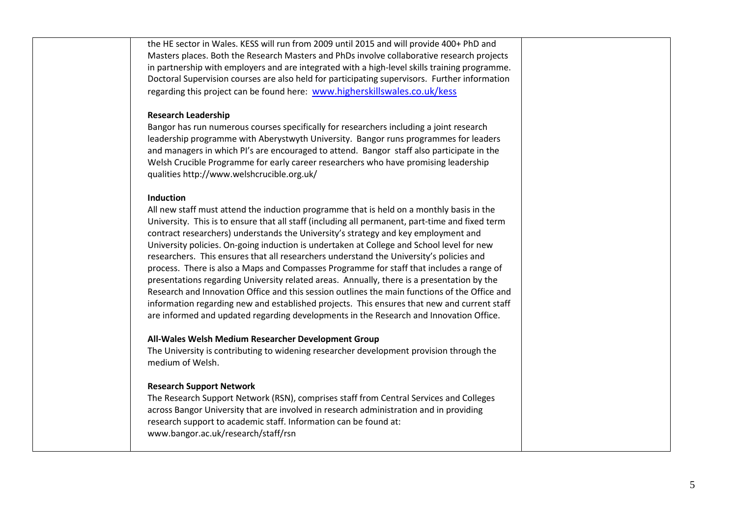the HE sector in Wales. KESS will run from 2009 until 2015 and will provide 400+ PhD and Masters places. Both the Research Masters and PhDs involve collaborative research projects in partnership with employers and are integrated with a high-level skills training programme. Doctoral Supervision courses are also held for participating supervisors. Further information regarding this project can be found here: [www.higherskillswales.co.uk/kess](http://www.higherskillswales.co.uk/kess)

#### **Research Leadership**

Bangor has run numerous courses specifically for researchers including a joint research leadership programme with Aberystwyth University. Bangor runs programmes for leaders and managers in which PI's are encouraged to attend. Bangor staff also participate in the Welsh Crucible Programme for early career researchers who have promising leadership qualities http://www.welshcrucible.org.uk/

#### **Induction**

All new staff must attend the induction programme that is held on a monthly basis in the University. This is to ensure that all staff (including all permanent, part-time and fixed term contract researchers) understands the University's strategy and key employment and University policies. On-going induction is undertaken at College and School level for new researchers. This ensures that all researchers understand the University's policies and process. There is also a Maps and Compasses Programme for staff that includes a range of presentations regarding University related areas. Annually, there is a presentation by the Research and Innovation Office and this session outlines the main functions of the Office and information regarding new and established projects. This ensures that new and current staff are informed and updated regarding developments in the Research and Innovation Office.

#### **All-Wales Welsh Medium Researcher Development Group**

The University is contributing to widening researcher development provision through the medium of Welsh.

#### **Research Support Network**

The Research Support Network (RSN), comprises staff from Central Services and Colleges across Bangor University that are involved in research administration and in providing research support to academic staff. Information can be found at: www.bangor.ac.uk/research/staff/rsn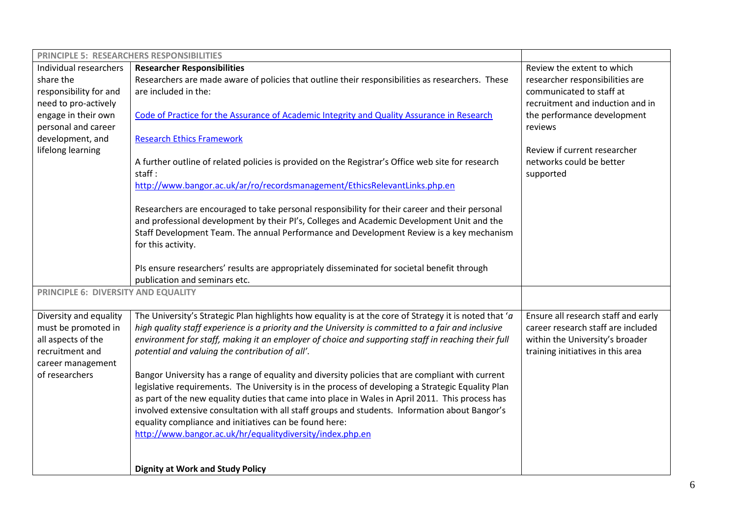|                                     | <b>PRINCIPLE 5: RESEARCHERS RESPONSIBILITIES</b>                                                       |                                     |
|-------------------------------------|--------------------------------------------------------------------------------------------------------|-------------------------------------|
| Individual researchers              | <b>Researcher Responsibilities</b>                                                                     | Review the extent to which          |
| share the                           | Researchers are made aware of policies that outline their responsibilities as researchers. These       | researcher responsibilities are     |
| responsibility for and              | are included in the:                                                                                   | communicated to staff at            |
| need to pro-actively                |                                                                                                        | recruitment and induction and in    |
| engage in their own                 | Code of Practice for the Assurance of Academic Integrity and Quality Assurance in Research             | the performance development         |
| personal and career                 |                                                                                                        | reviews                             |
| development, and                    | <b>Research Ethics Framework</b>                                                                       |                                     |
| lifelong learning                   |                                                                                                        | Review if current researcher        |
|                                     | A further outline of related policies is provided on the Registrar's Office web site for research      | networks could be better            |
|                                     | staff:                                                                                                 | supported                           |
|                                     | http://www.bangor.ac.uk/ar/ro/recordsmanagement/EthicsRelevantLinks.php.en                             |                                     |
|                                     |                                                                                                        |                                     |
|                                     | Researchers are encouraged to take personal responsibility for their career and their personal         |                                     |
|                                     | and professional development by their PI's, Colleges and Academic Development Unit and the             |                                     |
|                                     | Staff Development Team. The annual Performance and Development Review is a key mechanism               |                                     |
|                                     | for this activity.                                                                                     |                                     |
|                                     |                                                                                                        |                                     |
|                                     | PIs ensure researchers' results are appropriately disseminated for societal benefit through            |                                     |
|                                     | publication and seminars etc.                                                                          |                                     |
| PRINCIPLE 6: DIVERSITY AND EQUALITY |                                                                                                        |                                     |
| Diversity and equality              | The University's Strategic Plan highlights how equality is at the core of Strategy it is noted that 'a | Ensure all research staff and early |
| must be promoted in                 | high quality staff experience is a priority and the University is committed to a fair and inclusive    | career research staff are included  |
| all aspects of the                  | environment for staff, making it an employer of choice and supporting staff in reaching their full     | within the University's broader     |
| recruitment and                     | potential and valuing the contribution of all'.                                                        | training initiatives in this area   |
| career management                   |                                                                                                        |                                     |
| of researchers                      | Bangor University has a range of equality and diversity policies that are compliant with current       |                                     |
|                                     | legislative requirements. The University is in the process of developing a Strategic Equality Plan     |                                     |
|                                     | as part of the new equality duties that came into place in Wales in April 2011. This process has       |                                     |
|                                     | involved extensive consultation with all staff groups and students. Information about Bangor's         |                                     |
|                                     | equality compliance and initiatives can be found here:                                                 |                                     |
|                                     | http://www.bangor.ac.uk/hr/equalitydiversity/index.php.en                                              |                                     |
|                                     |                                                                                                        |                                     |
|                                     |                                                                                                        |                                     |
|                                     | <b>Dignity at Work and Study Policy</b>                                                                |                                     |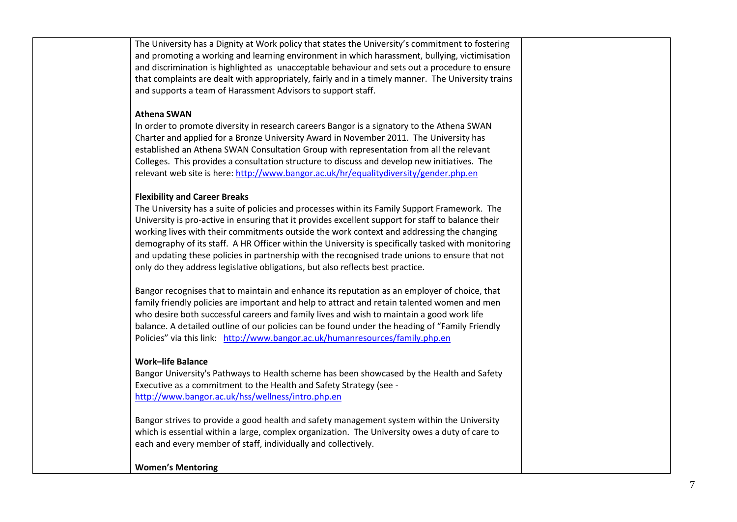The University has a Dignity at Work policy that states the University's commitment to fostering and promoting a working and learning environment in which harassment, bullying, victimisation and discrimination is highlighted as unacceptable behaviour and sets out a procedure to ensure that complaints are dealt with appropriately, fairly and in a timely manner. The University trains and supports a team of Harassment Advisors to support staff.

### **Athena SWAN**

In order to promote diversity in research careers Bangor is a signatory to the Athena SWAN Charter and applied for a Bronze University Award in November 2011. The University has established an Athena SWAN Consultation Group with representation from all the relevant Colleges. This provides a consultation structure to discuss and develop new initiatives. The relevant web site is here:<http://www.bangor.ac.uk/hr/equalitydiversity/gender.php.en>

## **Flexibility and Career Breaks**

The University has a suite of policies and processes within its Family Support Framework. The University is pro-active in ensuring that it provides excellent support for staff to balance their working lives with their commitments outside the work context and addressing the changing demography of its staff. A HR Officer within the University is specifically tasked with monitoring and updating these policies in partnership with the recognised trade unions to ensure that not only do they address legislative obligations, but also reflects best practice.

Bangor recognises that to maintain and enhance its reputation as an employer of choice, that family friendly policies are important and help to attract and retain talented women and men who desire both successful careers and family lives and wish to maintain a good work life balance. A detailed outline of our policies can be found under the heading of "Family Friendly Policies" via this link: [http://www.bangor.ac.uk/humanresources/family.php.en](http://www.bangor.ac.uk/humanresources/family.php.en?catid=&subid=4618)

# **Work–life Balance**

Bangor University's Pathways to Health scheme has been showcased by the Health and Safety Executive as a commitment to the Health and Safety Strategy (see <http://www.bangor.ac.uk/hss/wellness/intro.php.en>

Bangor strives to provide a good health and safety management system within the University which is essential within a large, complex organization. The University owes a duty of care to each and every member of staff, individually and collectively.

# **Women's Mentoring**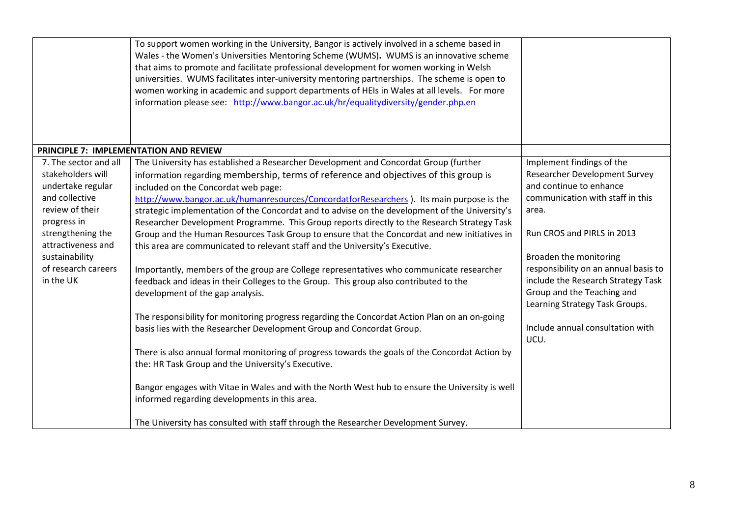|                                                                                                                                                                                                                      | To support women working in the University, Bangor is actively involved in a scheme based in<br>Wales - the Women's Universities Mentoring Scheme (WUMS). WUMS is an innovative scheme<br>that aims to promote and facilitate professional development for women working in Welsh<br>universities. WUMS facilitates inter-university mentoring partnerships. The scheme is open to<br>women working in academic and support departments of HEIs in Wales at all levels. For more<br>information please see: http://www.bangor.ac.uk/hr/equalitydiversity/gender.php.en                                                                                                                                                                                                                                                                                                                                                                                                                                                                                                                                                                                                                                                                                                                                                                                                                                           |                                                                                                                                                                                                                                                                                                                                                                                             |
|----------------------------------------------------------------------------------------------------------------------------------------------------------------------------------------------------------------------|------------------------------------------------------------------------------------------------------------------------------------------------------------------------------------------------------------------------------------------------------------------------------------------------------------------------------------------------------------------------------------------------------------------------------------------------------------------------------------------------------------------------------------------------------------------------------------------------------------------------------------------------------------------------------------------------------------------------------------------------------------------------------------------------------------------------------------------------------------------------------------------------------------------------------------------------------------------------------------------------------------------------------------------------------------------------------------------------------------------------------------------------------------------------------------------------------------------------------------------------------------------------------------------------------------------------------------------------------------------------------------------------------------------|---------------------------------------------------------------------------------------------------------------------------------------------------------------------------------------------------------------------------------------------------------------------------------------------------------------------------------------------------------------------------------------------|
|                                                                                                                                                                                                                      | PRINCIPLE 7: IMPLEMENTATION AND REVIEW                                                                                                                                                                                                                                                                                                                                                                                                                                                                                                                                                                                                                                                                                                                                                                                                                                                                                                                                                                                                                                                                                                                                                                                                                                                                                                                                                                           |                                                                                                                                                                                                                                                                                                                                                                                             |
| 7. The sector and all<br>stakeholders will<br>undertake regular<br>and collective<br>review of their<br>progress in<br>strengthening the<br>attractiveness and<br>sustainability<br>of research careers<br>in the UK | The University has established a Researcher Development and Concordat Group (further<br>information regarding membership, terms of reference and objectives of this group is<br>included on the Concordat web page:<br>http://www.bangor.ac.uk/humanresources/ConcordatforResearchers). Its main purpose is the<br>strategic implementation of the Concordat and to advise on the development of the University's<br>Researcher Development Programme. This Group reports directly to the Research Strategy Task<br>Group and the Human Resources Task Group to ensure that the Concordat and new initiatives in<br>this area are communicated to relevant staff and the University's Executive.<br>Importantly, members of the group are College representatives who communicate researcher<br>feedback and ideas in their Colleges to the Group. This group also contributed to the<br>development of the gap analysis.<br>The responsibility for monitoring progress regarding the Concordat Action Plan on an on-going<br>basis lies with the Researcher Development Group and Concordat Group.<br>There is also annual formal monitoring of progress towards the goals of the Concordat Action by<br>the: HR Task Group and the University's Executive.<br>Bangor engages with Vitae in Wales and with the North West hub to ensure the University is well<br>informed regarding developments in this area. | Implement findings of the<br><b>Researcher Development Survey</b><br>and continue to enhance<br>communication with staff in this<br>area.<br>Run CROS and PIRLS in 2013<br>Broaden the monitoring<br>responsibility on an annual basis to<br>include the Research Strategy Task<br>Group and the Teaching and<br>Learning Strategy Task Groups.<br>Include annual consultation with<br>UCU. |
|                                                                                                                                                                                                                      | The University has consulted with staff through the Researcher Development Survey.                                                                                                                                                                                                                                                                                                                                                                                                                                                                                                                                                                                                                                                                                                                                                                                                                                                                                                                                                                                                                                                                                                                                                                                                                                                                                                                               |                                                                                                                                                                                                                                                                                                                                                                                             |